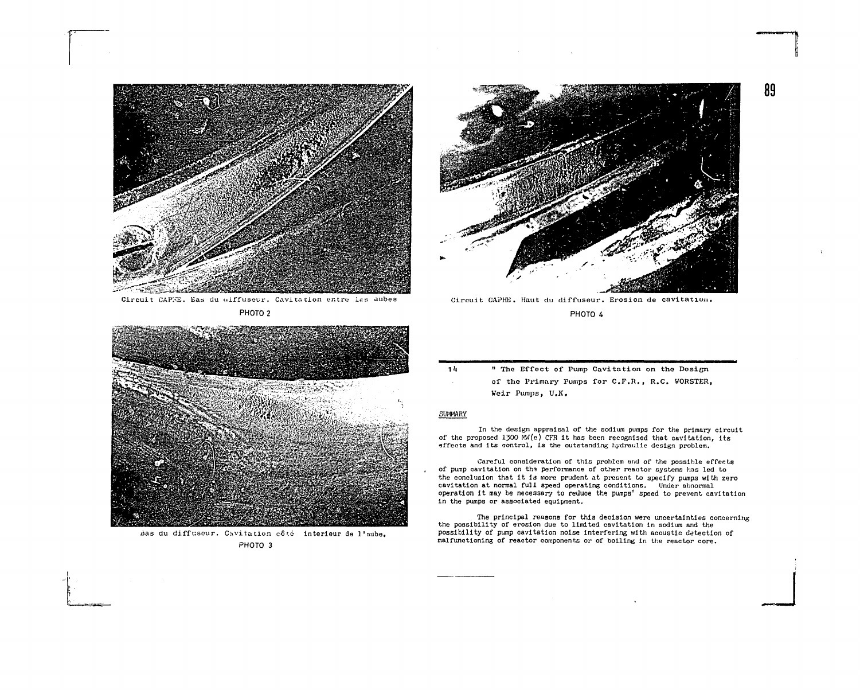

Circuit CAP<sub>i</sub>E. Eas du uiffuseur. Cavitation entre les aubes PHOTO<sub>2</sub>



Bas du diffuseur. Cavitation côté interieur de l'aube. PHOTO 3



Circuit CAPHB. Haut du diffuseur. Erosion de cavitation. **PHOTO 4**

" The Effect of Pump Cavitation on the Design  $14$ of the Primary Pumps for C.F.R., R.C. WORSTER, Weir Pumps, U.K.

# SUMMARY

In the design appraisal of the sodium pumps for the primary circuit of the proposed 1300 MW(e) CFR it has been recognised that cavitation, its effects and its control, is the outstanding hydraulic design problem.

Careful consideration of this problem and of the possible effects of pump cavitation on the performance of other reactor systems has led to the conclusion that it is more prudent at present to specify pumps with zero cavitation at normal full speed operating conditions. Under abnormal operation it may be necessary to reduce the pumps' speed to prevent cavitation in the pumps or associated equipment.

The principal reasons for this decision were uncertainties concerning the possibility of erosion due to limited cavitation in sodium and the possibility of pump cavitation noise interfering with acoustic detection of malfunctioning of reactor components or of boiling in the reactor core.

89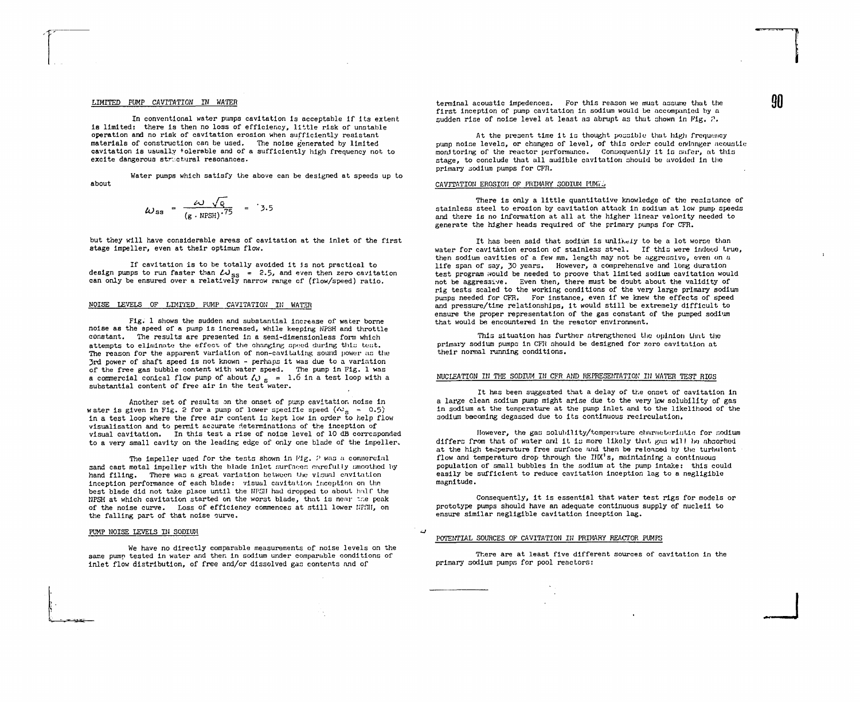#### LIMITED PUMP CAVITATIOM IN WATER

In conventional water pumps cavitation is acceptable if its extent is limited: there is then no loss of efficiency, little risk of unstable operation and no risk of cavitatlon erosion when sufficiently resistant materials of construction can be used. The noise generated by limited cavitatlon is usually tolerable and of a sufficiently high frequency not to excite dangerous structural resonances.

about Water pumps which satisfy the above can be designed at speeds up to

$$
\omega_{ss} = \frac{\omega \sqrt{q}}{(g \cdot \text{NPSH})^{.75}} = 3.5
$$

but they will have considerable areas of cavitation at the inlet of the first stage impeller, even at their optimum flow.

If cavitation is to be totally avoided it is not practical to design pumps to run faster than  $\omega_{ss} = 2.5$ , and even then zero cavitation can only be ensured over a relatively narrow range of (flow/speed) ratio.

# NOISE LEVELS OF LIMITED PUMP CAVITATION IN WATER

Fig. 1 shows the sudden and substantial increase of water borne noise as the speed of a pump is increased, while keeping NPSH and throttle constant. The results are presented in a semi-dimensionless form which attempts to eliminate the effect of the changing speed during this test. The reason for the apparent variation of non-cavitating sound power as the 3rd power of shaft speed is not known - perhaps it was due to a variation of the free gas bubble content with water speed. The pump in Fig. 1 was a commercial conical flow pump of about  $\ell$  s = 1.6 in a test loop with a substantial content of free air in the test water.

Another set of results an the onset of pump cavitation noise in water is given in Fig. 2 for a pump of lower specific speed  $\langle \omega_{\rm s} = 0.5 \rangle$ in a test loop where the free air content is kept low in order to help flow visualisation and to permit accurate determinations of the inception of visual cavitation. In this test a rise of noise level of 10 dB corresponded to a very small cavity on the leading edge of only one blade of the impeller.

The impeller used for the tests shown in Fig.  $P$  was a commercial sand cast metal impeller with the blade inlet surfaces carefully smoothed by hand filing. There wac a great variation between the visual cavitatlon inception performance of each blade: visual cavitatlon inception on thn best blade did not take place until the NPSH had dropped to about half the NPSH at which cavitation started on the worst blade, that is near the peak of the noise curve. Loss of efficiency commences at still lower HP/311, on the falling part of that noise curve.

#### PUMP NOISE LEVELS IN SODIUM

We have no directly comparable measurements of noise levels on the sane pumn tested in water and then in sodium under comparable conditions of inlet flow distribution, of free and/or dissolved gas contents and of

terminal acoustic impedences. For this reason we must assume that the first inception of pump cavitation in sodium would be accompanied by a sudden rise of noise level at least as abrupt as that shown in Fig.  $P$ .

At the present time it is thought possible that high frequency pump noise levels, or changes of level, of this order could endanger acoustic monitoring of the reactor performance. Consequently it is safer, at this stage, to conclude that all audible cavitation should be avoided in the primary sodium pumps for CFR.

#### CAVITATION EROSION OF PRIMARY SODIUM PUM'.Ö

There is only a little quantitative knowledge of the resistance of stainless steel to erosion by cavitation attack in sodium at low pump speeds and there is no information at all at the higher linear velocity needed to generate the higher heads required of the primary pumps for CFR.

It has been said that sodium is unlikely to be a lot worse than water for cavitation erosion of stainless steel. If this were indeed true, then sodium cavities of a few mm. length may not be aggressive, even on a life span of say, 30 years. However, a comprehensive and long duration test program would be needed to proove that limited sodium cavitation would not be aggressive. Even then, there must be doubt about the validity of rig tests scaled to the working conditions of the very large primary sodium pumps needed for CFR. For instance, even if we knew the effects of speed and pressure/time relationships, it would still be extremely difficult to ensure the proper representation of the gas constant of the pumped sodium that would be encountered in the reactor environment.

This situation has further strengthened the opinion that the primary sodium pumpe in CFH should be designed for zero cavitation at their normal running conditions.

#### NUCLEATION IN THE SODIUM IN CFR AND REPRESENTATION IN WATER TEST RIGS

It has been suggested that a delay of the onset of cavitation in a large clean sodium pump might arise due to the very low solubility of gas in sodium at the temperature at the pump inlet and to the likelihood of the 3odlum becoming degassed due to its continuous reclrculation.

However, the gas solubility/temperature characteristic for sodium differs from that of water and it is more likely that gas will be absorbed at the high temperature free curface and then be released by the turbulent flow and temperature drop through the  $II|X's$ , maintaining a continuous population of small bubbles in the sodium at the pump intake: this could easily be sufficient to reduce cavitation inception lag to a negligible magnitude.

Consequently, it is essential that water test rigs for models or prototype pumps should have an adequate continuous supply of nucleii to ensure similar negligible cavitation inception lag.

#### POTENTIAL SOURCES OF CAVITATION IH PRIMARY REACTOR PUMPS

There are at least five different sources of cavitation in the primary sodium pumps for pool reactors:

**eo**

**«•nrniM«!**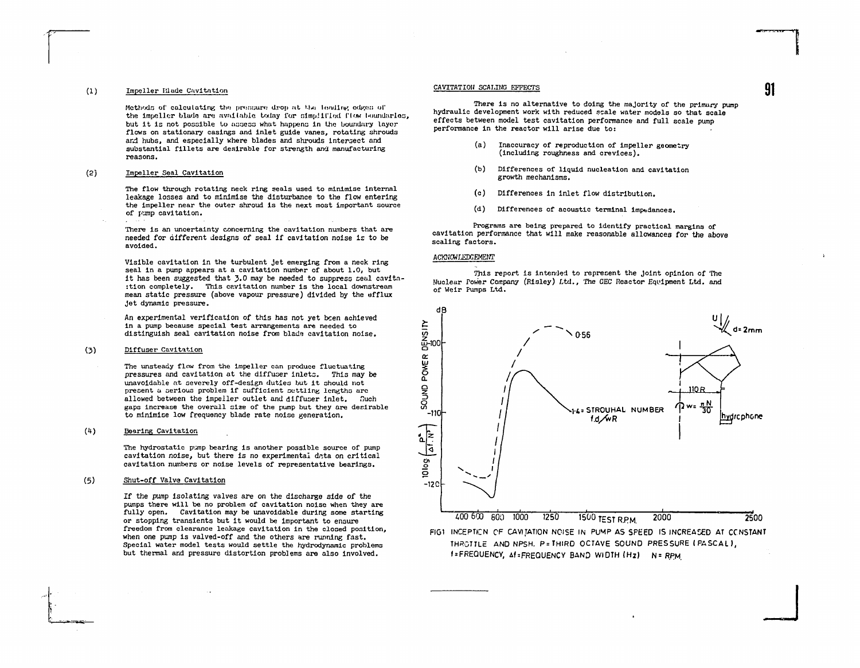#### (1) Impeller Made Cavitation

Methods of calculating the pressure drop at the leading odges of the impeller blade are available today for simplified flow boundaries, but it is not possible to assess what happens in the boundary layer flows on stationary casings and inlet guide vanes, rotating shrouds and hubs, and especially where blades and shrouds Intersect and substantial fillets are desirable for strength and manufacturing reasons.

## (2) Impeller Seal Cavltation

The flow through rotating neck ring seals used to minimise internal leakage losses and to minimise the disturbance to the flow entering the impeller near the outer shroud is the next most important source of pump cavltation.

There is an uncertainty concerning the cavitation numbers that are needed for different designs of seal if cavitation noise is to be avoided.

Visible cavitation in the turbulent Jet emerging from a neck ring seal In a pump appears at a cavltation number of about 1.0, but It has been suggested that 3.0 may be needed to suppress seal cavita- :tion completely. This cavitation number is the local downstream mean static pressure (above vapour pressure) divided by the efflux Jet dynamic pressure.

An experimental verification of this has not yet been achieved In a pump because special test arrangements are needed to distinguish seal cavitation noise from blade cavitation noise.

## (3) Diffuser Cavitation

The unsteady flow from the impeller can produce fluctuating pressures and cavitation at the diffuser inlets. This may be unavoidable at severely off-design duties but it should not present a serious problem if sufficient settling lengths are allowed between the impeller outlet and diffuser inlet. Such gaps increase the overall siae of the pump but they are desirable to minimise low frequency blade rate noise generation.

## (k) Bearing Cavltatlon

The hydrostatic pump bearing is another possible source of pump cavitation noise, but there is no experimental data on critical cavitation numbers or noise levels of representative bearings.

## (5) Shut-off Valve Cavltation

If the pump isolating valves are on the discharge side of the pumps there will be no problem of cavitation noise when they are fully open. Cavltation may be unavoidable during some starting or stopping transients but it would be important to ensure freedom from clearance leakage cavitation in the closed position, when one pump is valved-off and the others are running fast. Special water model tests would settle the hydrodynamic problems but thermal and pressure distortion problems are also involved.

## CAVITATIOH SCALING EFFECTS

There is no alternative to doing the majority of the primury pump hydraulic development work with reduced scale water models so that scale effects between model test cavitation performance and full scale pump performance in the reactor will arise due to:

- (a) Inaccuracy of reproduction of impeller geometry (including roughness and crevices).
- (b) Differences of liquid nucleation and cavitation growth mechanisms.
- (c) Differences in inlet flow distribution.
- (d) Differences of acoustic terminal impedances.

Programs are being prepared to identify practical margins of cavitation performance that will make reasonable allowances for the above scaling factors.

# ACKNOWLEDGEMENT

This report is intended to represent the Joint opinion of The Nuclear Power Company (flisley) Ltd., The GEC Reactor Equipment Ltd. and of Weir Pumps Ltd.



**»^FREQUENCY, Af ^FREQUENCY BAND WIDTH (Hz) N= RP.M.**

**J**